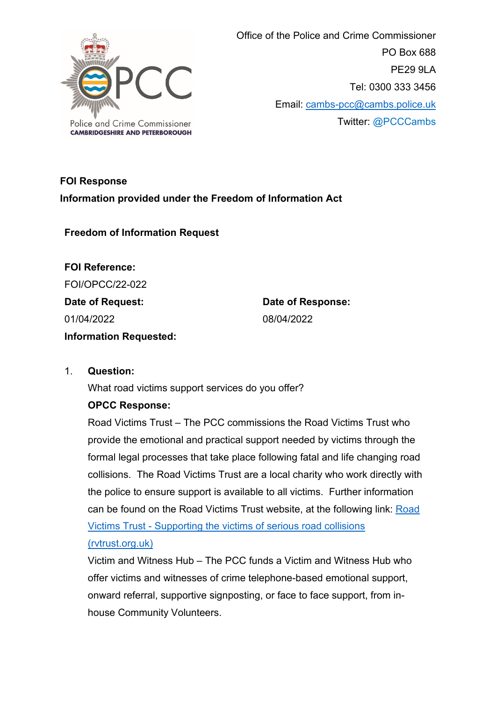

 Office of the Police and Crime Commissioner PO Box 688 PE29 9LA Tel: 0300 333 3456 Email: [cambs-pcc@cambs.police.uk](mailto:cambs-pcc@cambs.police.uk) Twitter: @PCCCambs

# **FOI Response Information provided under the Freedom of Information Act**

**Freedom of Information Request**

**FOI Reference:** FOI/OPCC/22-022 **Date of Request:** 01/04/2022 **Information Requested:** 

**Date of Response:** 08/04/2022

### 1. **Question:**

What road victims support services do you offer?

### **OPCC Response:**

Road Victims Trust – The PCC commissions the Road Victims Trust who provide the emotional and practical support needed by victims through the formal legal processes that take place following fatal and life changing road collisions. The Road Victims Trust are a local charity who work directly with the police to ensure support is available to all victims. Further information can be found on the Road Victims Trust website, at the following link: [Road](https://www.rvtrust.org.uk/)  Victims Trust - [Supporting the victims of serious road collisions](https://www.rvtrust.org.uk/)  [\(rvtrust.org.uk\)](https://www.rvtrust.org.uk/)

Victim and Witness Hub – The PCC funds a Victim and Witness Hub who offer victims and witnesses of crime telephone-based emotional support, onward referral, supportive signposting, or face to face support, from inhouse Community Volunteers.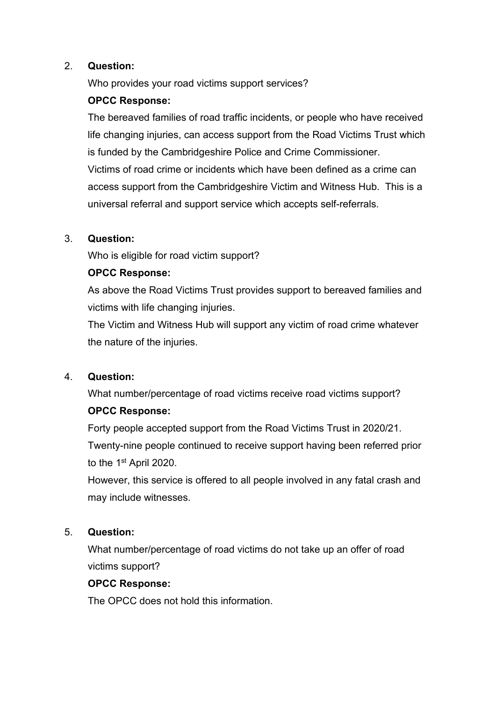#### 2. **Question:**

Who provides your road victims support services?

### **OPCC Response:**

The bereaved families of road traffic incidents, or people who have received life changing injuries, can access support from the Road Victims Trust which is funded by the Cambridgeshire Police and Crime Commissioner. Victims of road crime or incidents which have been defined as a crime can access support from the Cambridgeshire Victim and Witness Hub. This is a universal referral and support service which accepts self-referrals.

### 3. **Question:**

Who is eligible for road victim support?

## **OPCC Response:**

As above the Road Victims Trust provides support to bereaved families and victims with life changing injuries.

The Victim and Witness Hub will support any victim of road crime whatever the nature of the injuries.

### 4. **Question:**

What number/percentage of road victims receive road victims support? **OPCC Response:** 

Forty people accepted support from the Road Victims Trust in 2020/21. Twenty-nine people continued to receive support having been referred prior to the 1st April 2020.

However, this service is offered to all people involved in any fatal crash and may include witnesses.

### 5. **Question:**

What number/percentage of road victims do not take up an offer of road victims support?

### **OPCC Response:**

The OPCC does not hold this information.